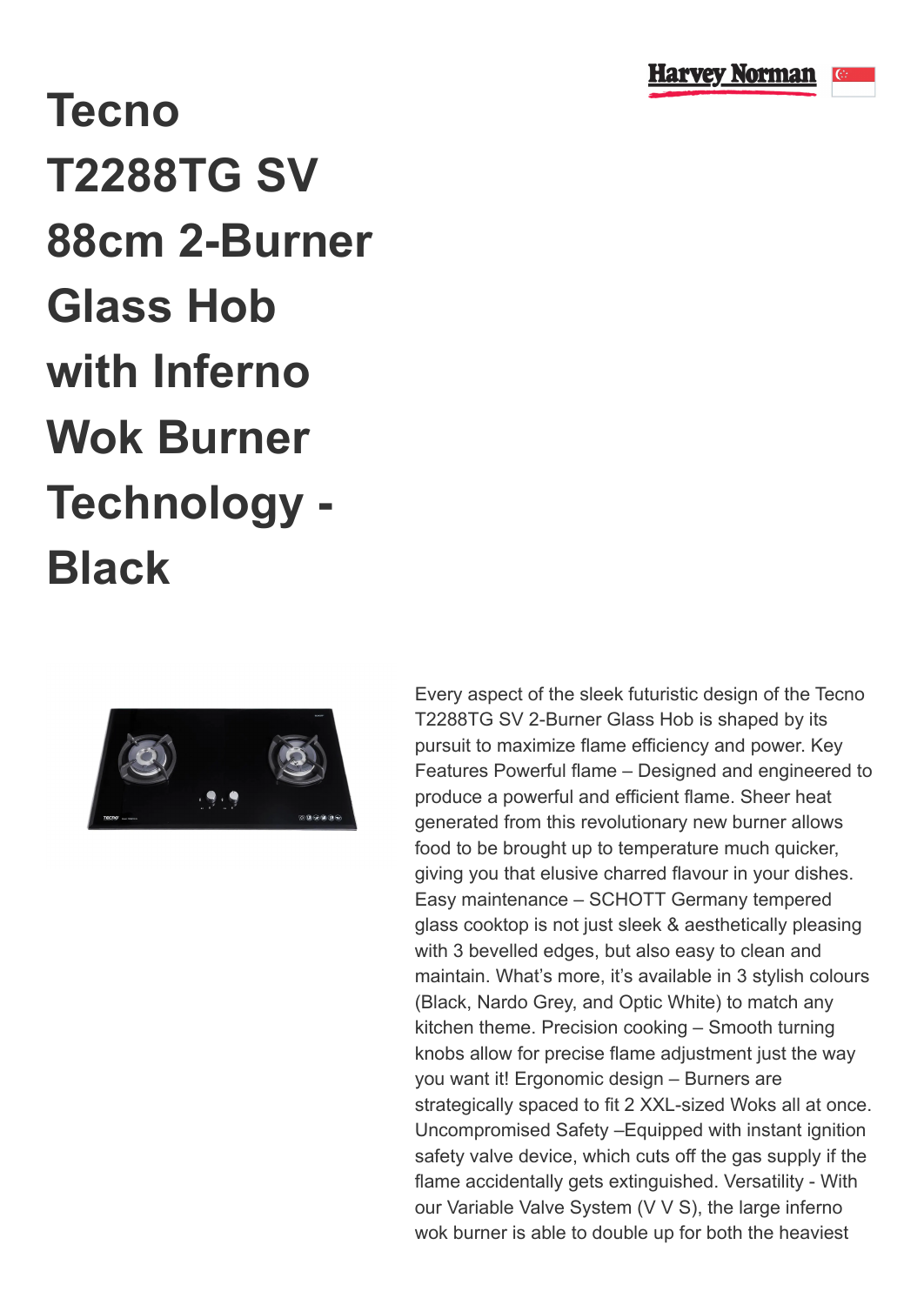

## **Tecno T2288TG SV 88cm 2-Burner Glass Hob with Inferno Wok Burner Technology - Black**



Every aspect of the sleek futuristic design of the Tecno T2288TG SV 2-Burner Glass Hob is shaped by its pursuit to maximize flame efficiency and power. Key Features Powerful flame – Designed and engineered to produce a powerful and efficient flame. Sheer heat generated from this revolutionary new burner allows food to be brought up to temperature much quicker, giving you that elusive charred flavour in your dishes. Easy maintenance – SCHOTT Germany tempered glass cooktop is not just sleek & aesthetically pleasing with 3 bevelled edges, but also easy to clean and maintain. What's more, it's available in 3 stylish colours (Black, Nardo Grey, and Optic White) to match any kitchen theme. Precision cooking – Smooth turning knobs allow for precise flame adjustment just the way you want it! Ergonomic design – Burners are strategically spaced to fit 2 XXL-sized Woks all at once. Uncompromised Safety –Equipped with instant ignition safety valve device, which cuts off the gas supply if the flame accidentally gets extinguished. Versatility - With our Variable Valve System (V V S), the large inferno wok burner is able to double up for both the heaviest